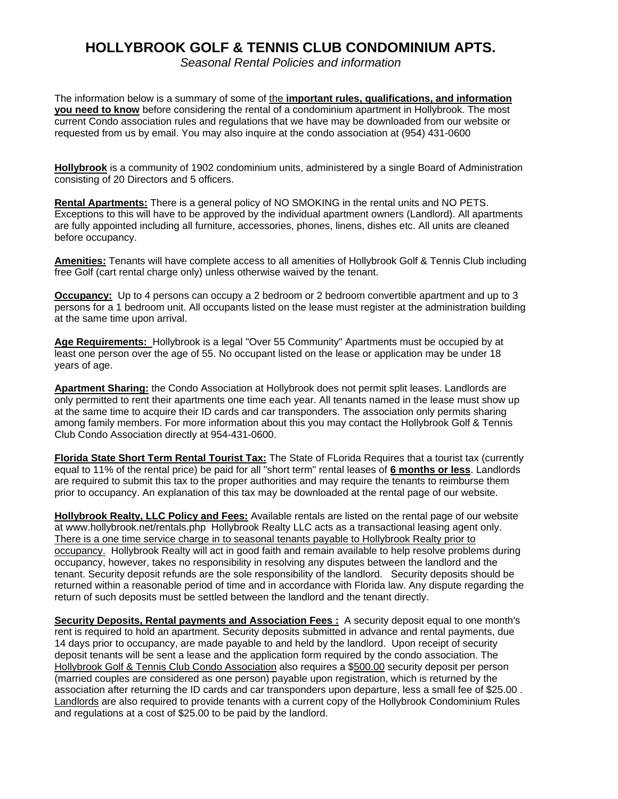## **HOLLYBROOK GOLF & TENNIS CLUB CONDOMINIUM APTS.**

*Seasonal Rental Policies and information* 

The information below is a summary of some of the **important rules, qualifications, and information you need to know** before considering the rental of a condominium apartment in Hollybrook. The most current Condo association rules and regulations that we have may be downloaded from our website or requested from us by email. You may also inquire at the condo association at (954) 431-0600

**Hollybrook** is a community of 1902 condominium units, administered by a single Board of Administration consisting of 20 Directors and 5 officers.

**Rental Apartments:** There is a general policy of NO SMOKING in the rental units and NO PETS. Exceptions to this will have to be approved by the individual apartment owners (Landlord). All apartments are fully appointed including all furniture, accessories, phones, linens, dishes etc. All units are cleaned before occupancy.

**Amenities:** Tenants will have complete access to all amenities of Hollybrook Golf & Tennis Club including free Golf (cart rental charge only) unless otherwise waived by the tenant.

**Occupancy:** Up to 4 persons can occupy a 2 bedroom or 2 bedroom convertible apartment and up to 3 persons for a 1 bedroom unit. All occupants listed on the lease must register at the administration building at the same time upon arrival.

**Age Requirements:** Hollybrook is a legal "Over 55 Community" Apartments must be occupied by at least one person over the age of 55. No occupant listed on the lease or application may be under 18 years of age.

**Apartment Sharing:** the Condo Association at Hollybrook does not permit split leases. Landlords are only permitted to rent their apartments one time each year. All tenants named in the lease must show up at the same time to acquire their ID cards and car transponders. The association only permits sharing among family members. For more information about this you may contact the Hollybrook Golf & Tennis Club Condo Association directly at 954-431-0600.

**Florida State Short Term Rental Tourist Tax:** The State of FLorida Requires that a tourist tax (currently equal to 11% of the rental price) be paid for all "short term" rental leases of **6 months or less**. Landlords are required to submit this tax to the proper authorities and may require the tenants to reimburse them prior to occupancy. An explanation of this tax may be downloaded at the rental page of our website.

**Hollybrook Realty, LLC Policy and Fees:** Available rentals are listed on the rental page of our website at www.hollybrook.net/rentals.php Hollybrook Realty LLC acts as a transactional leasing agent only. There is a one time service charge in to seasonal tenants payable to Hollybrook Realty prior to occupancy. Hollybrook Realty will act in good faith and remain available to help resolve problems during occupancy, however, takes no responsibility in resolving any disputes between the landlord and the tenant. Security deposit refunds are the sole responsibility of the landlord. Security deposits should be returned within a reasonable period of time and in accordance with Florida law. Any dispute regarding the return of such deposits must be settled between the landlord and the tenant directly.

**Security Deposits, Rental payments and Association Fees :** A security deposit equal to one month's rent is required to hold an apartment. Security deposits submitted in advance and rental payments, due 14 days prior to occupancy, are made payable to and held by the landlord. Upon receipt of security deposit tenants will be sent a lease and the application form required by the condo association. The Hollybrook Golf & Tennis Club Condo Association also requires a \$500.00 security deposit per person (married couples are considered as one person) payable upon registration, which is returned by the association after returning the ID cards and car transponders upon departure, less a small fee of \$25.00 . Landlords are also required to provide tenants with a current copy of the Hollybrook Condominium Rules and regulations at a cost of \$25.00 to be paid by the landlord.